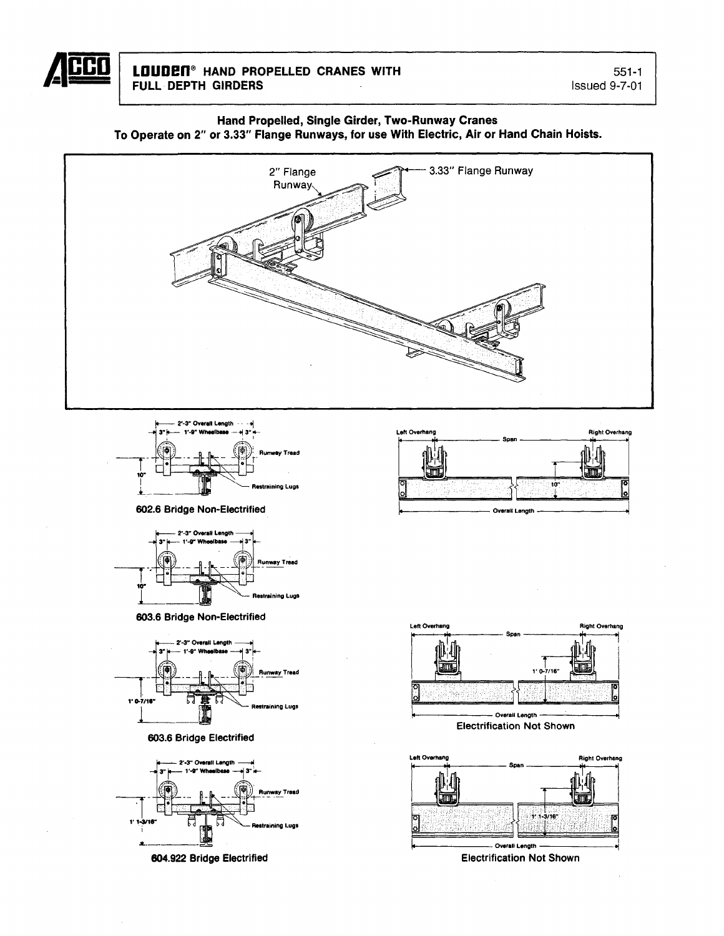

#### Hand Propelled, Single Girder, Two-Runway Cranes To Operate on 2" or 3.33" Flange Runways, for use With Electric, Air or Hand Chain Hoists.





602.6 Bridge Non-Electrified



603.6 Bridge Non-Electrified



603.6 Bridge Electrified



604.922 Bridge Electrified





**Electrification Not Shown** 

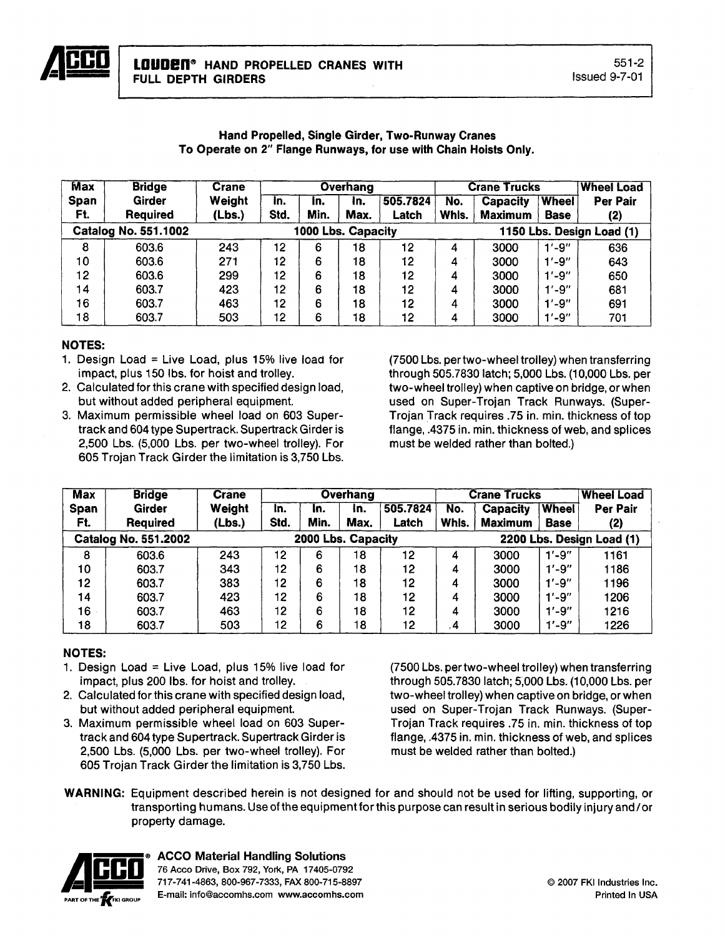| <b>Max</b>  | <b>Bridge</b>               | <b>Crane</b> |      |                    | <b>Overhang</b> |          |                           | <b>Crane Trucks</b> | <b>Wheel Load</b> |          |
|-------------|-----------------------------|--------------|------|--------------------|-----------------|----------|---------------------------|---------------------|-------------------|----------|
| <b>Span</b> | Girder                      | Weight       | In.  | in.                | In.             | 505.7824 | No.                       | <b>Capacity</b>     | <b>Wheel</b>      | Per Pair |
| Ft.         | <b>Required</b>             | (Lbs.)       | Std. | Min.               | Max.            | Latch    | Whis.                     | <b>Maximum</b>      | <b>Base</b>       | (2)      |
|             | <b>Catalog No. 551.1002</b> |              |      | 1000 Lbs. Capacity |                 |          | 1150 Lbs. Design Load (1) |                     |                   |          |
| 8           | 603.6                       | 243          | 12   | 6                  | 18              | 12       | 4                         | 3000                | $1' - 9''$        | 636      |
| 10          | 603.6                       | 271          | 12   | 6                  | 18              | 12       | 4                         | 3000                | $1' - 9''$        | 643      |
| 12          | 603.6                       | 299          | 12   | 6                  | 18              | 12       |                           | 3000                | $1' - 9''$        | 650      |
| 14          | 603.7                       | 423          | 12   | 6                  | 18              | 12       | 4                         | 3000                | $1' - 9''$        | 681      |
| 16          | 603.7                       | 463          | 12   | 6                  | 18              | 12       | 4                         | 3000                | $1' - 9''$        | 691      |
| 18          | 603.7                       | 503          | 12   | 6                  | 18              | 12       | 4                         | 3000                | $1' - 9''$        | 701      |

#### Hand Propelled, Single Girder, Two-Runway Cranes To Operate on 2" Flange Runways, for use with Chain Hoists Only.

## NOTES:

- 1. Design Load = Live Load, plus  $15\%$  live load for impact, plus 150 Ibs. for hoist and trolley.
- 2. Calculated for this crane with specified design load, but without added peripheral equipment.
- 3. Maximum permissible wheel load on 603 Supertrack and 604 type Supertrack. Supertrack Girder is 2,500 Lbs. (5,000 Lbs. per two-wheel trolley). For 605 Trojan Track Girder the limitation is 3,750 Lbs.

(7500 Lbs. pertwo-wheel trolley) when transferring through 505.7830 latch; 5,000 Lbs. (10,000 Lbs. per two-wheel trolley) when captive on bridge, or when used on Super-Trojan Track Runways. (Super-Trojan Track requires .75 in. min. thickness of top flange, .4375 in. min. thickness of web, and splices must be welded rather than bolted.)

| <b>Max</b>  | <b>Bridge</b>               | <b>Crane</b> |                                                 | <b>Overhang</b> |      |          |       | <b>Crane Trucks</b> | <b>Wheel Load</b> |          |
|-------------|-----------------------------|--------------|-------------------------------------------------|-----------------|------|----------|-------|---------------------|-------------------|----------|
| <b>Span</b> | <b>Girder</b>               | Weight       | In.                                             | In.             | In.  | 505.7824 | No.   | <b>Capacity</b>     | <b>Wheel</b>      | Per Pair |
| Ft.         | <b>Required</b>             | (Lbs.)       | Std.                                            | Min.            | Max. | Latch    | Whls. | <b>Maximum</b>      | <b>Base</b>       | (2)      |
|             | <b>Catalog No. 551.2002</b> |              | 2000 Lbs. Capacity<br>2200 Lbs. Design Load (1) |                 |      |          |       |                     |                   |          |
| 8           | 603.6                       | 243          | 12                                              | 6               | 18   | 12       | 4     | 3000                | $1' - 9''$        | 1161     |
| 10          | 603.7                       | 343          | 12                                              | 6               | 18   | 12       | 4     | 3000                | $1' - 9''$        | 1186     |
| 12          | 603.7                       | 383          | 12                                              | 6               | 18   | 12       | 4     | 3000                | $1' - 9''$        | 1196     |
| 14          | 603.7                       | 423          | 12                                              | 6               | 18   | 12       | 4     | 3000                | $1' - 9''$        | 1206     |
| 16          | 603.7                       | 463          | 12                                              | 6               | 18   | 12       | 4     | 3000                | $1' - 9''$        | 1216     |
| 18          | 603.7                       | 503          | 12                                              | 6               | 18   | 12       | . 4   | 3000                | $1' - 9''$        | 1226     |

# NOTES:

- 1. Design Load = Live Load, plus  $15\%$  live load for impact, plus 200 Ibs. for hoist and trolley.
- 2. Calculated for this crane with specified design load, but without added peripheral equipment.
- 3. Maximum permissible wheel load on 603 Supertrack and 604 type Supertrack. Supertrack Girder is 2,500 Lbs. (5,000 Lbs. per two-wheel trolley). For 605 Trojan Track Girder the limitation is 3,750 Lbs.

(7500 Lbs. pertwo-wheel trolley) when transferring through 505.7830 latch; 5,000 Lbs. (10,000 Lbs. per two-wheel trolley) when captive on bridge, or when used on Super-Trojan Track Runways. (Super-Trojan Track requires .75 in. min. thickness of top flange, .4375 in. min. thickness of web, and splices must be welded rather than bolted.)

WARNING: Equipment described herein is not designed for and should not be used for lifting, supporting, or transporting humans. Use of the equipment for this purpose can result in serious bodily injury and/or property damage.



**ACCO Material Handling Solutions**<br>
76 Acco Drive, Box 792, York, PA 17405-079<br>
717-741-4863, 800-967-7333, FAX 800-715-8<br>
E-mail: info@accomhs.com www.accomhs.c **•• Воссо Drive, Box 792, York, PA 17405-0792**<br><sup>717-741</sup>-4863, 800-967-7333, FAX 800-715-8897 E-mail: info@accomhs.com www.accomhs.com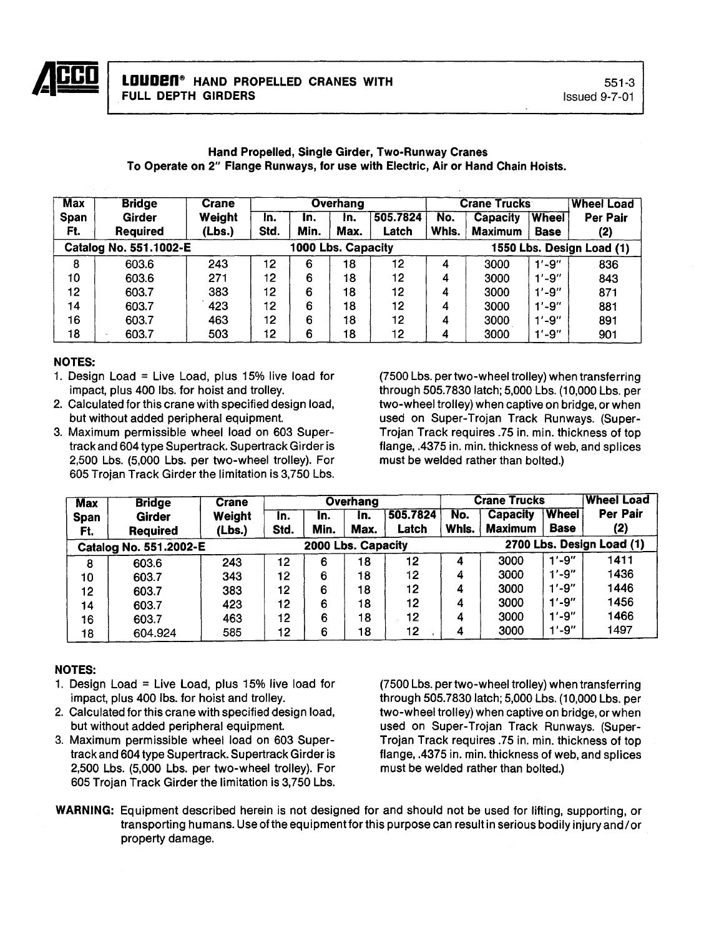

# Hand Propelled, Single Girder, Two-Runway Cranes To Operate on 2" Flange Runways, for use with Electric, Air or Hand Chain Hoists.

| <b>Max</b>                                   | <b>Bridge</b> | Crane  |      |      | <b>Overhang</b> |                 |       | <b>Crane Trucks</b>       | <b>Wheel Load</b> |                 |  |
|----------------------------------------------|---------------|--------|------|------|-----------------|-----------------|-------|---------------------------|-------------------|-----------------|--|
| <b>Span</b>                                  | Girder        | Weight | In.  | In.  | In.             | 505.7824        | No.   | Capacity                  | <b>Wheel</b>      | <b>Per Pair</b> |  |
| Ft.                                          | Required      | (Lbs.) | Std. | Min. | Max.            | Latch           | Whls. | <b>Maximum</b>            | <b>Base</b>       | (2)             |  |
| Catalog No. 551.1002-E<br>1000 Lbs. Capacity |               |        |      |      |                 |                 |       | 1550 Lbs. Design Load (1) |                   |                 |  |
| 8                                            | 603.6         | 243    | 12   | 6    | 18              | 12 <sub>2</sub> | 4     | 3000                      | $1' - 9''$        | 836             |  |
| 10                                           | 603.6         | 271    | 12   | 6    | 18              | 12              | 4     | 3000                      | $1' - 9''$        | 843             |  |
| 12                                           | 603.7         | 383    | 12   | 6    | 18              | 12              | 4     | 3000                      | $1' - 9''$        | 871             |  |
| 14                                           | 603.7         | 423    | 12   | 6    | 18              | 12              | 4     | 3000                      | $1' - 9''$        | 881             |  |
| 16                                           | 603.7         | 463    | 12   | 6    | 18              | 12              | 4     | 3000                      | $1' - 9''$        | 891             |  |
| 18                                           | 603.7         | 503    | 12   | 6    | 18              | 12              | 4     | 3000                      | $1' - 9''$        | 901             |  |

#### NOTES:

- 1. Design Load = Live Load, plus  $15\%$  live load for impact, plus 400 Ibs. for hoist and trolley.
- 2. Calculated for this crane with specified design load, but without added peripheral equipment.
- 3. Maximum permissible wheel load on 603 Supertrack and 604 type Supertrack.Supertrack Girder is 2,500 Lbs. (5,000 Lbs. per two-wheel trolley). For 605 Trojan Track Girder the limitation is 3,750 Lbs.

(7500 Lbs. per two-wheel trolley) when transferring through 505.7830 latch; 5,000 Lbs. (10,000 Lbs. per two-wheel trolley) when captive on bridge, or when used on Super-Trojan Track Runways. (Super-Trojan Track requires .75 in. min. thickness of top flange, .4375 in. min. thickness of web, and splices must be welded rather than bolted.)

| <b>Max</b>  | <b>Bridge</b>          | <b>Crane</b> |      |                    | <b>Overhang</b> |                 |       | <b>Crane Trucks</b>       | <b>Wheel Load</b> |                 |  |
|-------------|------------------------|--------------|------|--------------------|-----------------|-----------------|-------|---------------------------|-------------------|-----------------|--|
| <b>Span</b> | Girder                 | Weight       | In.  | In.                | In.             | 505.7824        | No.   | <b>Capacity</b>           | Wheel             | <b>Per Pair</b> |  |
| Ft.         | <b>Required</b>        | (Lbs.)       | Std. | Min.               | Max.            | Latch           | Whls. | <b>Maximum</b>            | <b>Base</b>       | (2)             |  |
|             | Catalog No. 551.2002-E |              |      | 2000 Lbs. Capacity |                 |                 |       | 2700 Lbs. Design Load (1) |                   |                 |  |
| 8           | 603.6                  | 243          | 12   | 6                  | 18              | 12              | 4     | 3000                      | $1' - 9''$        | 1411            |  |
| 10          | 603.7                  | 343          | 12   | 6                  | 18              | 12              | 4     | 3000                      | $1' - 9''$        | 1436            |  |
| 12          | 603.7                  | 383          | 12   | 6                  | 18              | 12              | 4     | 3000                      | $1' - 9''$        | 1446            |  |
| 14          | 603.7                  | 423          | 12   | 6                  | 18              | 12              | 4     | 3000                      | $1' - 9''$        | 1456            |  |
| 16          | 603.7                  | 463          | 12   | 6                  | 18              | 12 <sub>2</sub> | 4     | 3000                      | $1' - 9''$        | 1466            |  |
| 18          | 604.924                | 585          | 12   | 6                  | 18              | 12 <sub>2</sub> | 4     | 3000                      | $1' - 9''$        | 1497            |  |

## NOTES:

- 1. Design Load = Live Load, plus 15% live load for impact, plus 400 Ibs. for hoist and trolley.
- 2. Calculated for this crane with specified design load, but without added peripheral equipment.
- 3. Maximum permissible wheel load on 603 Supertrack and 604 type Supertrack. Supertrack Girder is 2,500 Lbs. (5,000 Lbs. per two-wheel trolley). For 605 Trojan Track Girder the limitation is 3,750 Lbs.

(7500 Lbs. per two-wheel trolley) when transferring through 505.7830 latch; 5,000 Lbs. (10,000 Lbs. per two-wheel trolley) when captive on bridge, or when used on Super-Trojan Track Runways. (Super-Trojan Track requires .75 in. min. thickness of top flange, .4375 in. min. thickness of web, and splices must be welded rather than bolted.)

WARNING: Equipment described herein is not designed for and should not be used for lifting, supporting, or transporting humans. Use ofthe equipment for this purpose can result in serious bodily injury and/or property damage.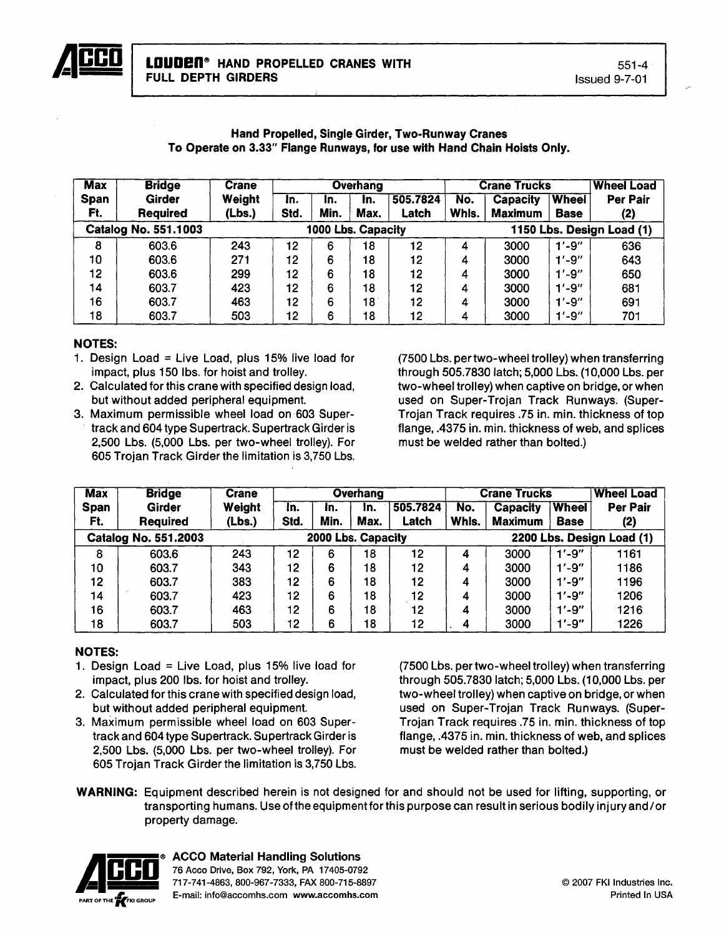

#### Hand Propelled, Single Girder, Two-Runway Cranes To Operate on 3.33" Flange Runways, for use with Hand Chain Hoists Only.

| <b>Max</b>  | <b>Bridge</b>               | <b>Crane</b> |      |                    | Overhang |          |                           | <b>Crane Trucks</b> |              | <b>Wheel Load</b> |
|-------------|-----------------------------|--------------|------|--------------------|----------|----------|---------------------------|---------------------|--------------|-------------------|
| <b>Span</b> | Girder                      | Weight       | In.  | In.                | In.      | 505.7824 | No.                       | <b>Capacity</b>     | <b>Wheel</b> | <b>Per Pair</b>   |
| Ft.         | <b>Required</b>             | (Lbs.)       | Std. | Min.               | Max.     | Latch    | Whls.                     | Maximum             | <b>Base</b>  | (2)               |
|             | <b>Catalog No. 551.1003</b> |              |      | 1000 Lbs. Capacity |          |          | 1150 Lbs. Design Load (1) |                     |              |                   |
| 8           | 603.6                       | 243          | 12   | 6                  | 18       | 12       | 4                         | 3000                | $1' - 9''$   | 636               |
| 10          | 603.6                       | 271          | 12   | 6                  | 18       | 12       | 4                         | 3000                | $1' - 9''$   | 643               |
| 12          | 603.6                       | 299          | 12   | 6                  | 18       | 12       | 4                         | 3000                | $1' - 9''$   | 650               |
| 14          | 603.7                       | 423          | 12   | 6                  | 18       | 12       | 4                         | 3000                | $1' - 9''$   | 681               |
| 16          | 603.7                       | 463          | 12   | 6                  | 18       | 12       | 4                         | 3000                | $1' - 9''$   | 691               |
| 18          | 603.7                       | 503          | 12   | 6                  | 18       | 12       | 4                         | 3000                | $1' - 9''$   | 701               |

## NOTES:

- 1. Design Load = Live Load, plus  $15\%$  live load for impact, plus 150 Ibs. for hoist and trolley.
- 2. Calculated for this crane with specified design load, but without added peripheral equipment.
- 3. Maximum permissible wheel load on 603 Supertrack and 604 type Supertrack. Supertrack Girder is 2,500 Lbs. (5,000 Lbs. per two-wheel trolley). For 605 Trojan Track Girder the limitation is 3,750 Lbs.

(7500 Lbs. pertwo-wheel trolley) when transferring through 505.7830 latch; 5,000 Lbs. (10,000 Lbs. per two-wheel trolley) when captive on bridge, or when used on Super-Trojan Track Runways. (Super-Trojan Track requires .75 in. min. thickness of top flange, .4375 in. min. thickness of web, and splices must be welded rather than bolted.)

| <b>Max</b>  | <b>Bridge</b>               | <b>Crane</b> |                    | Overhang |      |          |       | <b>Crane Trucks</b> |                           | <b>Wheel Load</b> |  |
|-------------|-----------------------------|--------------|--------------------|----------|------|----------|-------|---------------------|---------------------------|-------------------|--|
| <b>Span</b> | Girder                      | Weight       | In.                | In.      | In.  | 505.7824 | No.   | <b>Capacity</b>     | <b>Wheel</b>              | <b>Per Pair</b>   |  |
| Ft.         | <b>Required</b>             | (Lbs.)       | Std.               | Min.     | Max. | Latch    | Whls. | <b>Maximum</b>      | <b>Base</b>               | (2)               |  |
|             | <b>Catalog No. 551.2003</b> |              | 2000 Lbs. Capacity |          |      |          |       |                     | 2200 Lbs. Design Load (1) |                   |  |
| 8           | 603.6                       | 243          | 12                 | 6        | 18   | 12       | 4     | 3000                | $1' - 9''$                | 1161              |  |
| 10          | 603.7                       | 343          | 12                 | 6        | 18   | 12       | 4     | 3000                | $1' - 9''$                | 1186              |  |
| 12          | 603.7                       | 383          | 12                 | 6        | 18   | 12       | 4     | 3000                | $1' - 9''$                | 1196              |  |
| 14          | 603.7                       | 423          | 12                 | 6        | 18   | 12       | 4     | 3000                | $1' - 9''$                | 1206              |  |
| 16          | 603.7                       | 463          | 12                 | 6        | 18   | 12       | 4     | 3000                | $1' - 9''$                | 1216              |  |
| 18          | 603.7                       | 503          | 12                 | 6        | 18   | 12       | 4     | 3000                | $1' - 9''$                | 1226              |  |

# NOTES:

- 1. Design Load = Live Load, plus  $15\%$  live load for impact, plus 200 Ibs. for hoist and trolley.
- 2. Calculated for this crane with specified design load, but without added peripheral equipment.
- 3. Maximum permissible wheel load on 603 Supertrack and 604 type Supertrack. Supertrack Girder is 2,500 Lbs. (5,000 Lbs. per two-wheel trolley). For 605 Trojan Track Girder the limitation is 3,750 Lbs.

(7500 Lbs. per two-wheel trolley) when transferring through 505.7830 latch; 5,000 Lbs. (10,000 Lbs. per two-wheel trolley) when captive on bridge, or when used on Super-Trojan Track Runways. (Super-Trojan Track requires .75 in. min. thickness of top flange, .4375 in. min. thickness of web, and splices must be welded rather than bolted.)

WARNING: Equipment described herein is not designed for and should not be used for lifting, supporting, or transporting humans. Use ofthe equipmentforthis purpose can result in serious bodily injuryand/or property damage.



**ACCO Material Handling Solutions**<br>76 Acco Drive, Box 792, York, PA 17405-0792 <sup>76</sup> Acco Drive, Box 792, York, PA 17405-0792 **• CCO** 717-741-4863,800-967-7333, FAX 800-715-8897 E-mail: info@accomhs.com www.accomhs.com